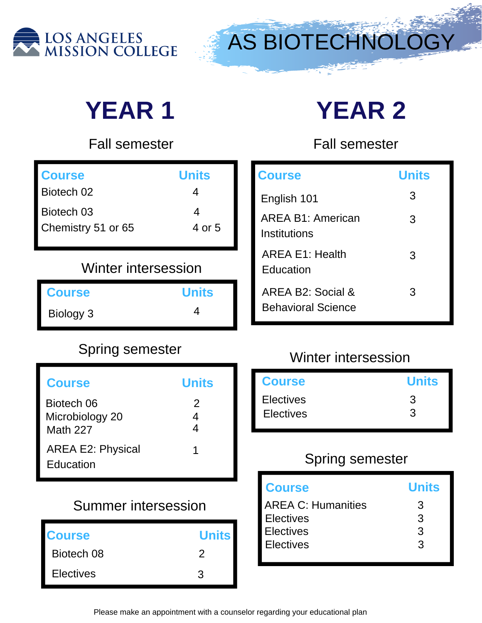



# **YEAR 1 YEAR 2**

Fall semester

| <b>Course</b>      | <b>Units</b> |
|--------------------|--------------|
| Biotech 02         |              |
| Biotech 03         | Δ            |
| Chemistry 51 or 65 | 4 or 5       |

# Winter intersession

| <b>Course</b> | <b>Units</b> |
|---------------|--------------|
| Biology 3     |              |

# Spring semester

| <b>Course</b>                                    | <b>Units</b> |
|--------------------------------------------------|--------------|
| Biotech 06<br>Microbiology 20<br><b>Math 227</b> | 2<br>4       |
| <b>AREA E2: Physical</b><br>Education            | 1            |

## Summer intersession

| <b>Course</b>    | <b>Units</b> |
|------------------|--------------|
| Biotech 08       | ン            |
| <b>Electives</b> | 3            |

Fall semester

| <b>Course</b>                                  | <b>Units</b> |
|------------------------------------------------|--------------|
| English 101                                    | 3            |
| AREA B1: American<br>Institutions              | 3            |
| <b>AREA E1: Health</b><br>Education            | 3            |
| AREA B2: Social &<br><b>Behavioral Science</b> | 3            |

#### Winter intersession

| <b>Course</b>    | <b>Units</b> |
|------------------|--------------|
| <b>Electives</b> | 3            |
| <b>Electives</b> | 3            |
|                  |              |

| <b>Course</b>             | <b>Units</b> |
|---------------------------|--------------|
| <b>AREA C: Humanities</b> | 3            |
| <b>Electives</b>          | 3            |
| <b>Electives</b>          | 3            |
| <b>Electives</b>          | 3            |
|                           |              |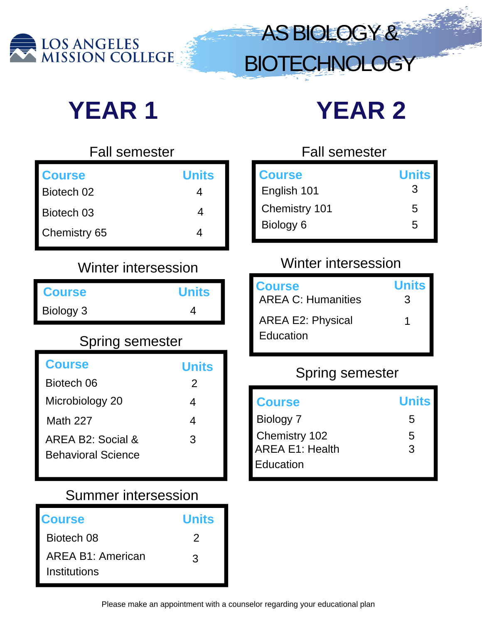

# **YEAR 1 YEAR 2**

| <b>Fall semester</b> |  |
|----------------------|--|
| <b>Units</b>         |  |
| 4                    |  |
| Δ                    |  |
|                      |  |
|                      |  |

## Winter intersession

| <b>Course</b> | <b>Units</b> |
|---------------|--------------|
| Biology 3     |              |

# Spring semester

| <b>Course</b>                                  | <b>Units</b>  |
|------------------------------------------------|---------------|
| Biotech 06                                     | $\mathcal{P}$ |
| Microbiology 20                                | 4             |
| <b>Math 227</b>                                | 4             |
| AREA B2: Social &<br><b>Behavioral Science</b> | 3             |

#### Summer intersession

| <b>Course</b>                                   | <b>Units</b> |
|-------------------------------------------------|--------------|
| Biotech 08                                      | 2            |
| <b>AREA B1: American</b><br><b>Institutions</b> | 3            |

### Fall semester

ASBIOLOGY&

**BIOTECHNOLOGY** 

| <b>Course</b> | <b>Units</b> |
|---------------|--------------|
| English 101   | З            |
| Chemistry 101 | 5            |
| Biology 6     | 5            |
|               |              |

# Winter intersession

| <b>Course</b>                         | <b>Units</b> |
|---------------------------------------|--------------|
| <b>AREA C: Humanities</b>             | 3            |
| <b>AREA E2: Physical</b><br>Education | 1            |

| <b>Course</b>          | <b>Units</b> |
|------------------------|--------------|
| Biology 7              | 5            |
| Chemistry 102          | 5            |
| <b>AREA E1: Health</b> | 3            |
| Education              |              |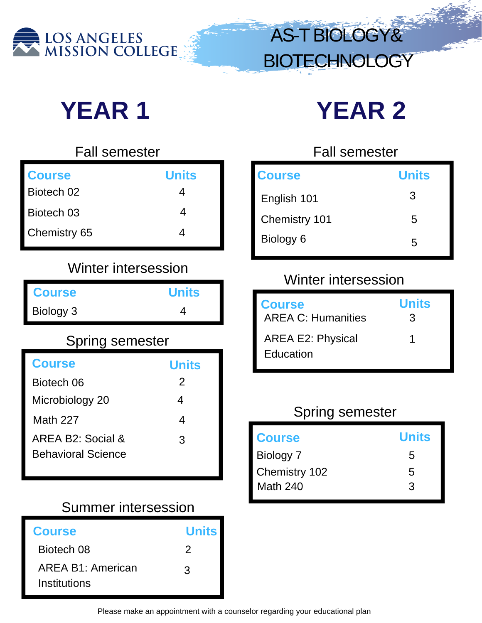

AS-TBIOLOGY& **BIOTECHNOLOGY** 

# **YEAR 1 YEAR 2**

| <b>Fall semester</b> |              |
|----------------------|--------------|
| <b>Course</b>        | <b>Units</b> |
| Biotech 02           | 4            |
| Biotech 03           | 4            |
| Chemistry 65         | ⊿            |

# Winter intersession

|               |              | VVIIIIEI IIIIEI SE                         |
|---------------|--------------|--------------------------------------------|
| <b>Course</b> | <b>Units</b> |                                            |
| Biology 3     |              | <b>Course</b><br><b>AREA C: Humanities</b> |

## Spring semester

| <b>Course</b>                                  | <b>Units</b> |
|------------------------------------------------|--------------|
| Biotech 06                                     | 2            |
| Microbiology 20                                | 4            |
| <b>Math 227</b>                                | Δ            |
| AREA B2: Social &<br><b>Behavioral Science</b> | 3            |

#### Summer intersession

| <b>Course</b>                            | <b>Units</b> |
|------------------------------------------|--------------|
| Biotech 08                               | 2            |
| <b>AREA B1: American</b><br>Institutions | 3            |

#### Fall semester

| <b>Course</b> | <b>Units</b> |
|---------------|--------------|
| English 101   | 3            |
| Chemistry 101 | 5            |
| Biology 6     | 5            |

## Winter intersession

| <b>Course</b>                         | <b>Units</b> |
|---------------------------------------|--------------|
| <b>AREA C: Humanities</b>             | 3            |
| <b>AREA E2: Physical</b><br>Education | 1            |

| <b>Course</b>   | <b>Units</b> |
|-----------------|--------------|
| Biology 7       | 5            |
| Chemistry 102   | 5            |
| <b>Math 240</b> | 3            |
|                 |              |